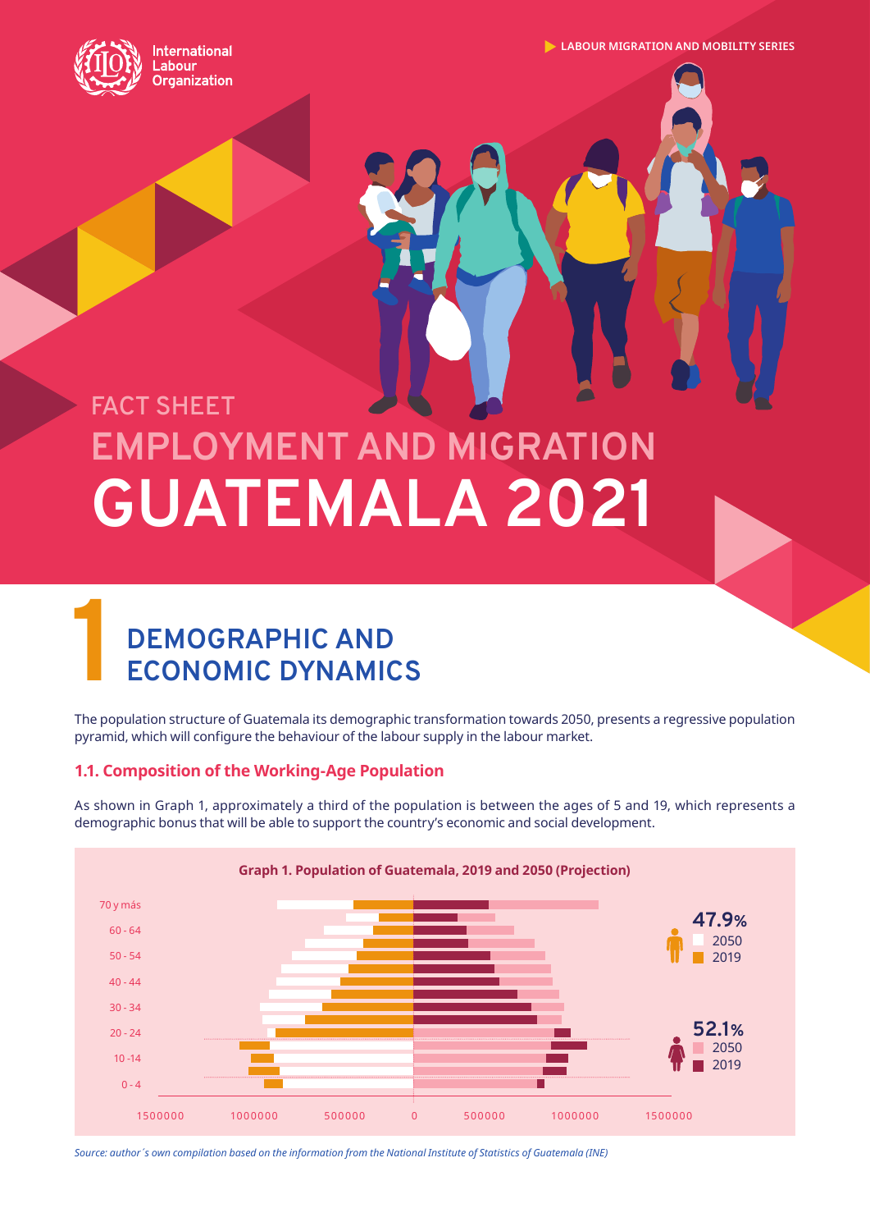

**International** abour **Organization**  **LABOUR MIGRATION AND MOBILITY SERIES**

# **EMPLOYMENT AND MIGRATION GUATEMALA 2021 FACT SHEET**

# **1 DEMOGRAPHIC AND ECONOMIC DYNAMICS**

The population structure of Guatemala its demographic transformation towards 2050, presents a regressive population pyramid, which will configure the behaviour of the labour supply in the labour market.

# **1.1. Composition of the Working-Age Population**

As shown in Graph 1, approximately a third of the population is between the ages of 5 and 19, which represents a demographic bonus that will be able to support the country's economic and social development.



*Source: author´s own compilation based on the information from the National Institute of Statistics of Guatemala (INE)*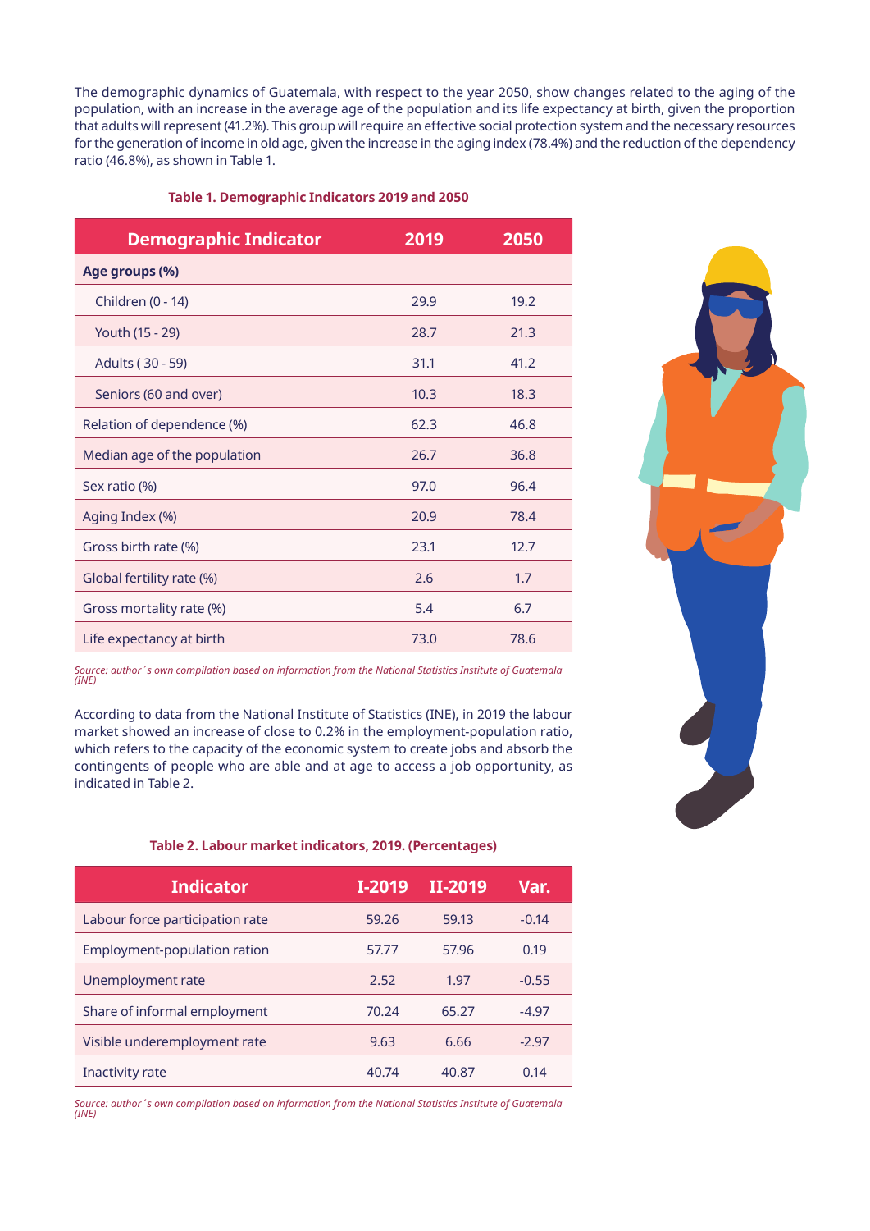The demographic dynamics of Guatemala, with respect to the year 2050, show changes related to the aging of the population, with an increase in the average age of the population and its life expectancy at birth, given the proportion that adults will represent (41.2%). This group will require an effective social protection system and the necessary resources for the generation of income in old age, given the increase in the aging index (78.4%) and the reduction of the dependency ratio (46.8%), as shown in Table 1.

#### **Table 1. Demographic Indicators 2019 and 2050**

| <b>Demographic Indicator</b> | 2019 | 2050 |
|------------------------------|------|------|
| Age groups (%)               |      |      |
| Children (0 - 14)            | 29.9 | 19.2 |
| Youth (15 - 29)              | 28.7 | 21.3 |
| Adults (30 - 59)             | 31.1 | 41.2 |
| Seniors (60 and over)        | 10.3 | 18.3 |
| Relation of dependence (%)   | 62.3 | 46.8 |
| Median age of the population | 26.7 | 36.8 |
| Sex ratio (%)                | 97.0 | 96.4 |
| Aging Index (%)              | 20.9 | 78.4 |
| Gross birth rate (%)         | 23.1 | 12.7 |
| Global fertility rate (%)    | 2.6  | 1.7  |
| Gross mortality rate (%)     | 5.4  | 6.7  |
| Life expectancy at birth     | 73.0 | 78.6 |

*Source: author´s own compilation based on information from the National Statistics Institute of Guatemala (INE)*

According to data from the National Institute of Statistics (INE), in 2019 the labour market showed an increase of close to 0.2% in the employment-population ratio, which refers to the capacity of the economic system to create jobs and absorb the contingents of people who are able and at age to access a job opportunity, as indicated in Table 2.

### **Table 2. Labour market indicators, 2019. (Percentages)**

| <b>Indicator</b>                | I-2019 | II-2019 | Var.    |
|---------------------------------|--------|---------|---------|
| Labour force participation rate | 59.26  | 59.13   | $-0.14$ |
| Employment-population ration    | 57.77  | 57.96   | 0.19    |
| Unemployment rate               | 2.52   | 1.97    | $-0.55$ |
| Share of informal employment    | 70.24  | 65.27   | $-4.97$ |
| Visible underemployment rate    | 9.63   | 6.66    | $-2.97$ |
| Inactivity rate                 | 40.74  | 40.87   | 0.14    |

*Source: author´s own compilation based on information from the National Statistics Institute of Guatemala (INE)*

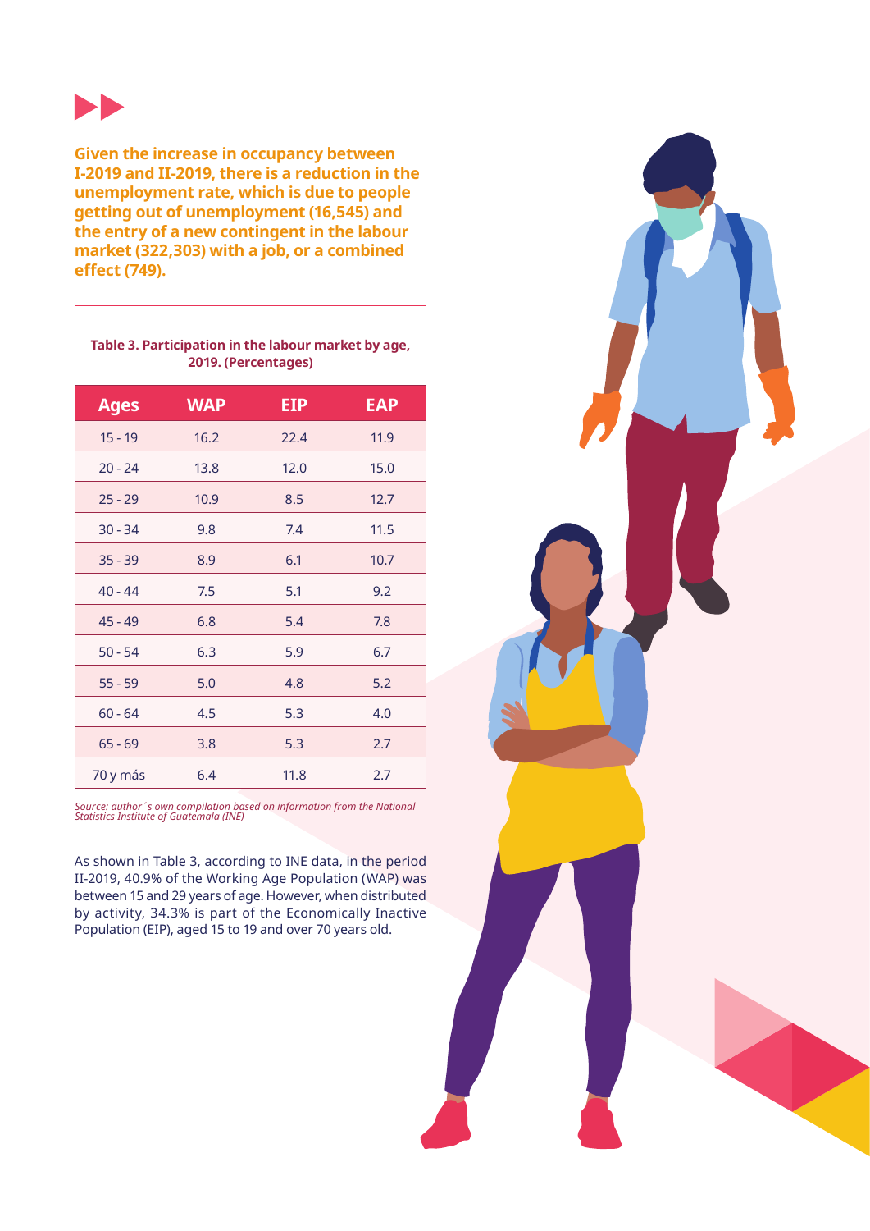

**Given the increase in occupancy between I-2019 and II-2019, there is a reduction in the unemployment rate, which is due to people getting out of unemployment (16,545) and the entry of a new contingent in the labour market (322,303) with a job, or a combined effect (749).**

### **Table 3. Participation in the labour market by age, 2019. (Percentages)**

| <b>Ages</b> | <b>WAP</b> | <b>EIP</b> | <b>EAP</b> |
|-------------|------------|------------|------------|
| $15 - 19$   | 16.2       | 22.4       | 11.9       |
| $20 - 24$   | 13.8       | 12.0       | 15.0       |
| $25 - 29$   | 10.9       | 8.5        | 12.7       |
| $30 - 34$   | 9.8        | 7.4        | 11.5       |
| $35 - 39$   | 8.9        | 6.1        | 10.7       |
| $40 - 44$   | 7.5        | 5.1        | 9.2        |
| $45 - 49$   | 6.8        | 5.4        | 7.8        |
| $50 - 54$   | 6.3        | 5.9        | 6.7        |
| $55 - 59$   | 5.0        | 4.8        | 5.2        |
| $60 - 64$   | 4.5        | 5.3        | 4.0        |
| $65 - 69$   | 3.8        | 5.3        | 2.7        |
| 70 y más    | 6.4        | 11.8       | 2.7        |

*Source: author´s own compilation based on information from the National Statistics Institute of Guatemala (INE)*

As shown in Table 3, according to INE data, in the period II-2019, 40.9% of the Working Age Population (WAP) was between 15 and 29 years of age. However, when distributed by activity, 34.3% is part of the Economically Inactive Population (EIP), aged 15 to 19 and over 70 years old.

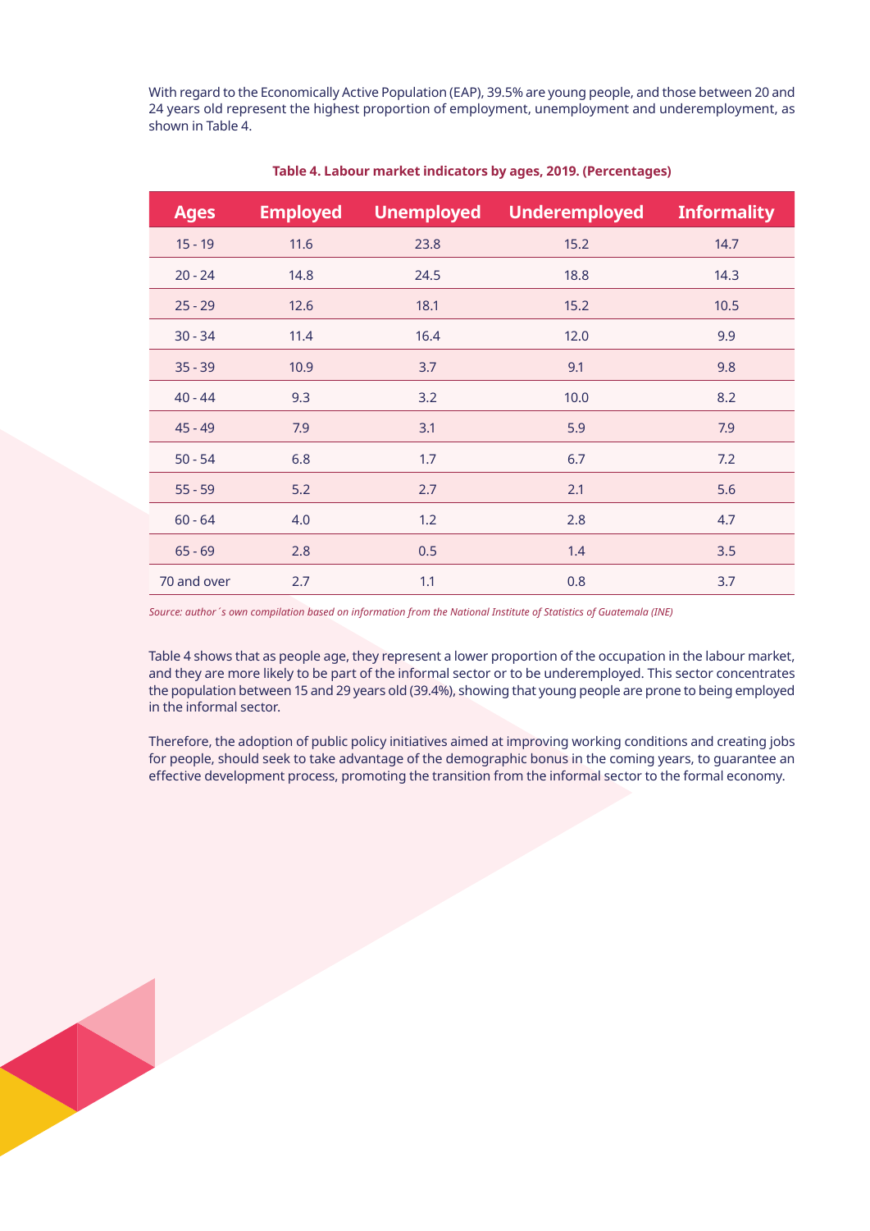With regard to the Economically Active Population (EAP), 39.5% are young people, and those between 20 and 24 years old represent the highest proportion of employment, unemployment and underemployment, as shown in Table 4.

| <b>Ages</b> | <b>Employed</b> | <b>Unemployed</b> | <b>Underemployed</b> | <b>Informality</b> |
|-------------|-----------------|-------------------|----------------------|--------------------|
| $15 - 19$   | 11.6            | 23.8              | 15.2                 | 14.7               |
| $20 - 24$   | 14.8            | 24.5              | 18.8                 | 14.3               |
| $25 - 29$   | 12.6            | 18.1              | 15.2                 | 10.5               |
| $30 - 34$   | 11.4            | 16.4              | 12.0                 | 9.9                |
| $35 - 39$   | 10.9            | 3.7               | 9.1                  | 9.8                |
| $40 - 44$   | 9.3             | 3.2               | 10.0                 | 8.2                |
| $45 - 49$   | 7.9             | 3.1               | 5.9                  | 7.9                |
| $50 - 54$   | 6.8             | 1.7               | 6.7                  | 7.2                |
| $55 - 59$   | $5.2$           | 2.7               | 2.1                  | 5.6                |
| $60 - 64$   | 4.0             | 1.2               | 2.8                  | 4.7                |
| $65 - 69$   | 2.8             | 0.5               | 1.4                  | 3.5                |
| 70 and over | 2.7             | 1.1               | 0.8                  | 3.7                |

### **Table 4. Labour market indicators by ages, 2019. (Percentages)**

*Source: author´s own compilation based on information from the National Institute of Statistics of Guatemala (INE)*

Table 4 shows that as people age, they represent a lower proportion of the occupation in the labour market, and they are more likely to be part of the informal sector or to be underemployed. This sector concentrates the population between 15 and 29 years old (39.4%), showing that young people are prone to being employed in the informal sector.

Therefore, the adoption of public policy initiatives aimed at improving working conditions and creating jobs for people, should seek to take advantage of the demographic bonus in the coming years, to guarantee an effective development process, promoting the transition from the informal sector to the formal economy.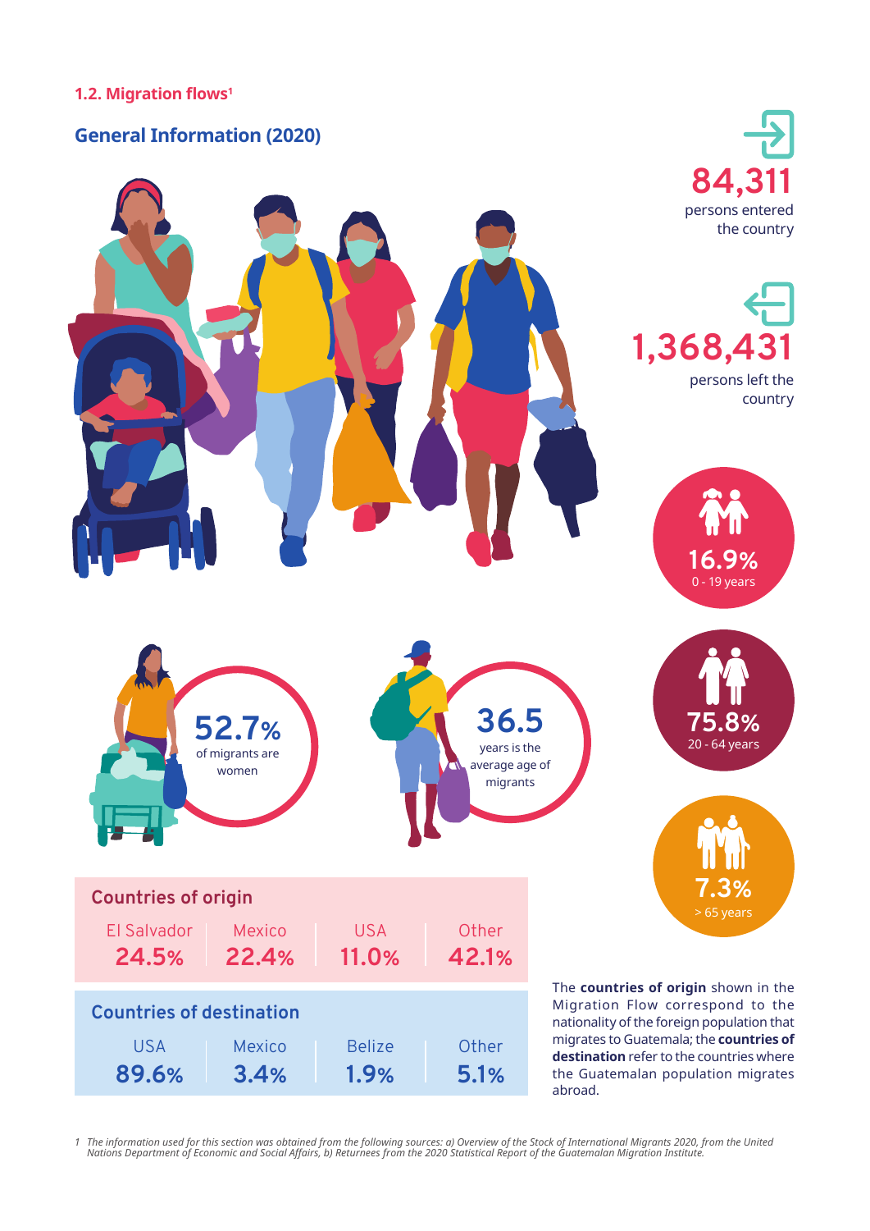## **1.2. Migration flows1**

# **General Information (2020)**



1 The information used for this section was obtained from the following sources: a) Overview of the Stock of International Migrants 2020, from the United<br>Nations Department of Economic and Social Affairs, b) Returnees from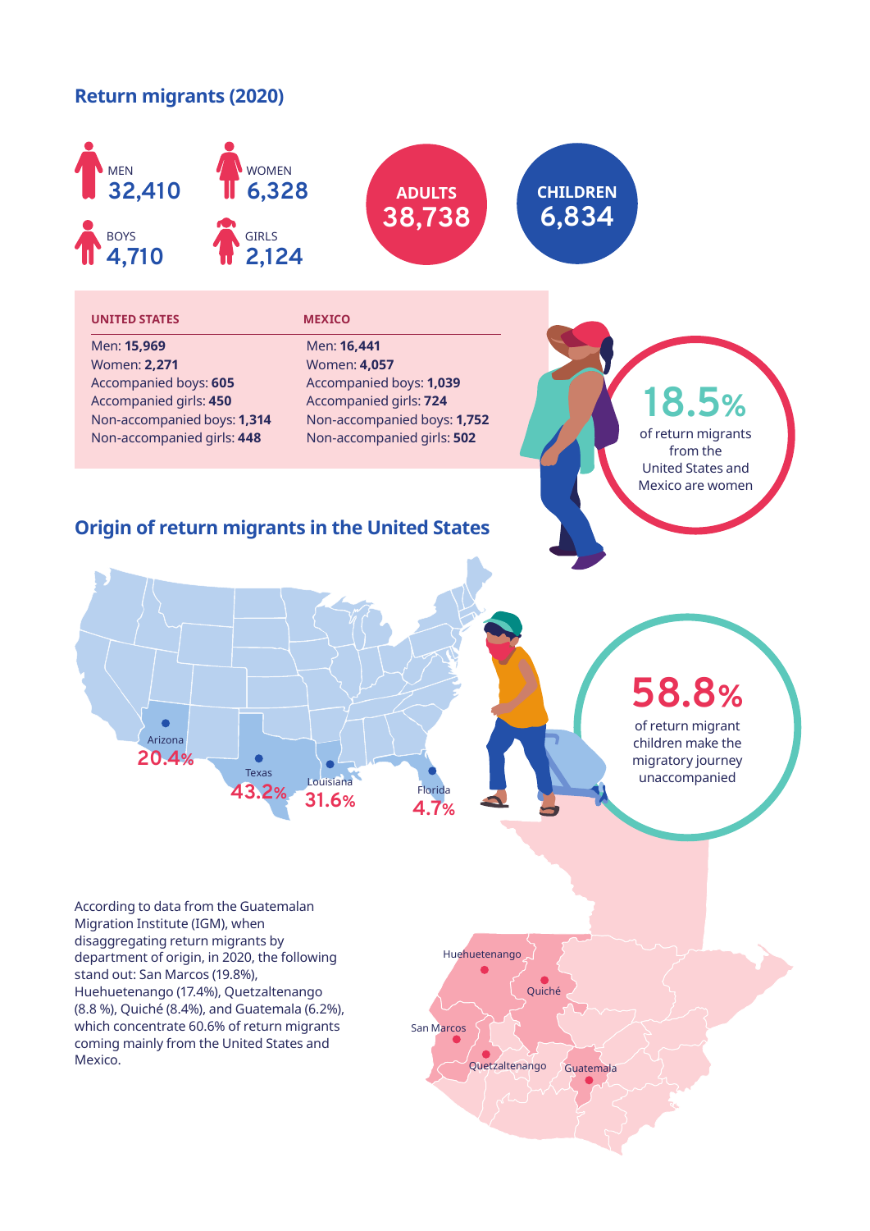# **Return migrants (2020)**

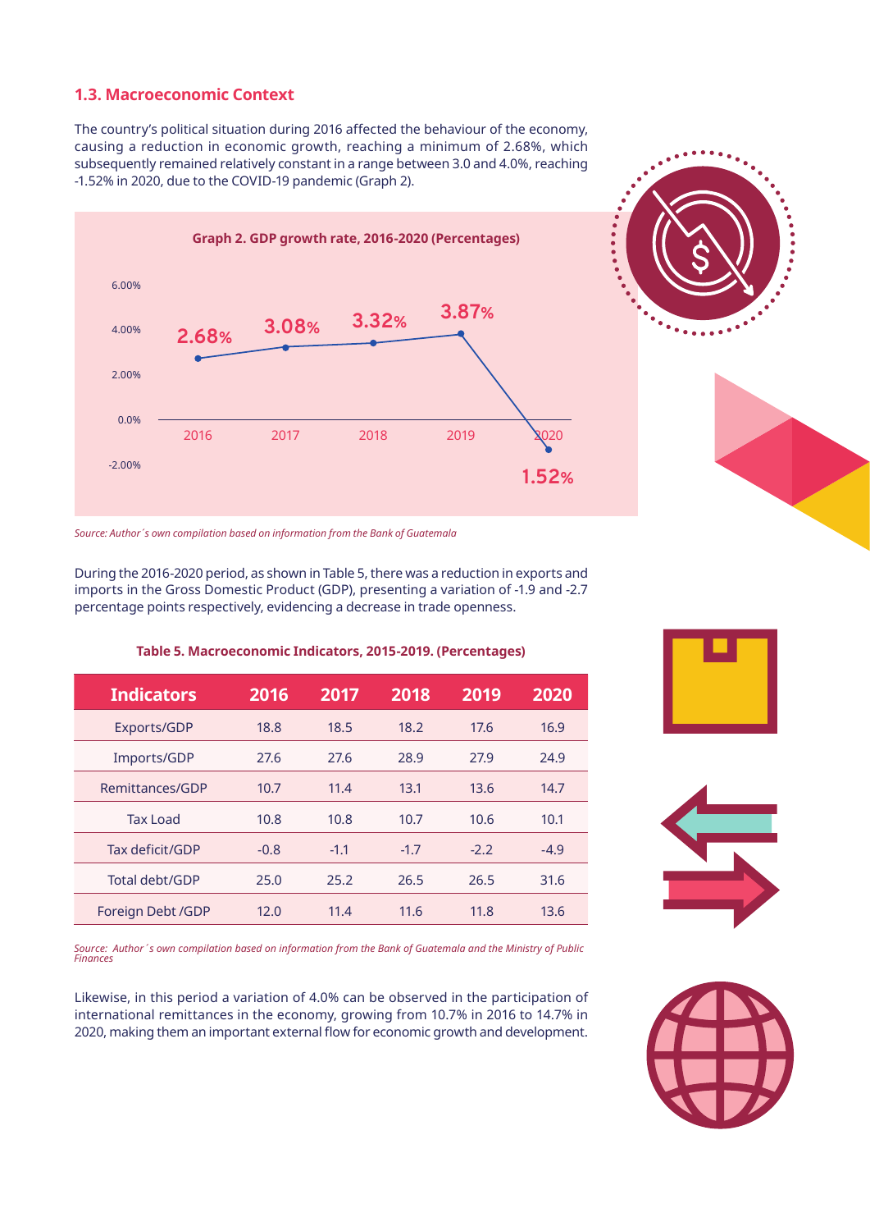## **1.3. Macroeconomic Context**

The country's political situation during 2016 affected the behaviour of the economy, causing a reduction in economic growth, reaching a minimum of 2.68%, which subsequently remained relatively constant in a range between 3.0 and 4.0%, reaching -1.52% in 2020, due to the COVID-19 pandemic (Graph 2).





During the 2016-2020 period, as shown in Table 5, there was a reduction in exports and imports in the Gross Domestic Product (GDP), presenting a variation of -1.9 and -2.7 percentage points respectively, evidencing a decrease in trade openness.

**Table 5. Macroeconomic Indicators, 2015-2019. (Percentages)**

| <b>Indicators</b> | 2016   | 2017   | 2018   | 2019   | 2020   |
|-------------------|--------|--------|--------|--------|--------|
| Exports/GDP       | 18.8   | 18.5   | 18.2   | 17.6   | 16.9   |
| Imports/GDP       | 27.6   | 27.6   | 28.9   | 27.9   | 24.9   |
| Remittances/GDP   | 10.7   | 11.4   | 13.1   | 13.6   | 14.7   |
| <b>Tax Load</b>   | 10.8   | 10.8   | 10.7   | 10.6   | 10.1   |
| Tax deficit/GDP   | $-0.8$ | $-1.1$ | $-1.7$ | $-2.2$ | $-4.9$ |
| Total debt/GDP    | 25.0   | 25.2   | 26.5   | 26.5   | 31.6   |
| Foreign Debt /GDP | 12.0   | 11.4   | 11.6   | 11.8   | 13.6   |

*Source: Author´s own compilation based on information from the Bank of Guatemala and the Ministry of Public Finances*

Likewise, in this period a variation of 4.0% can be observed in the participation of international remittances in the economy, growing from 10.7% in 2016 to 14.7% in 2020, making them an important external flow for economic growth and development.







*Source: Author´s own compilation based on information from the Bank of Guatemala*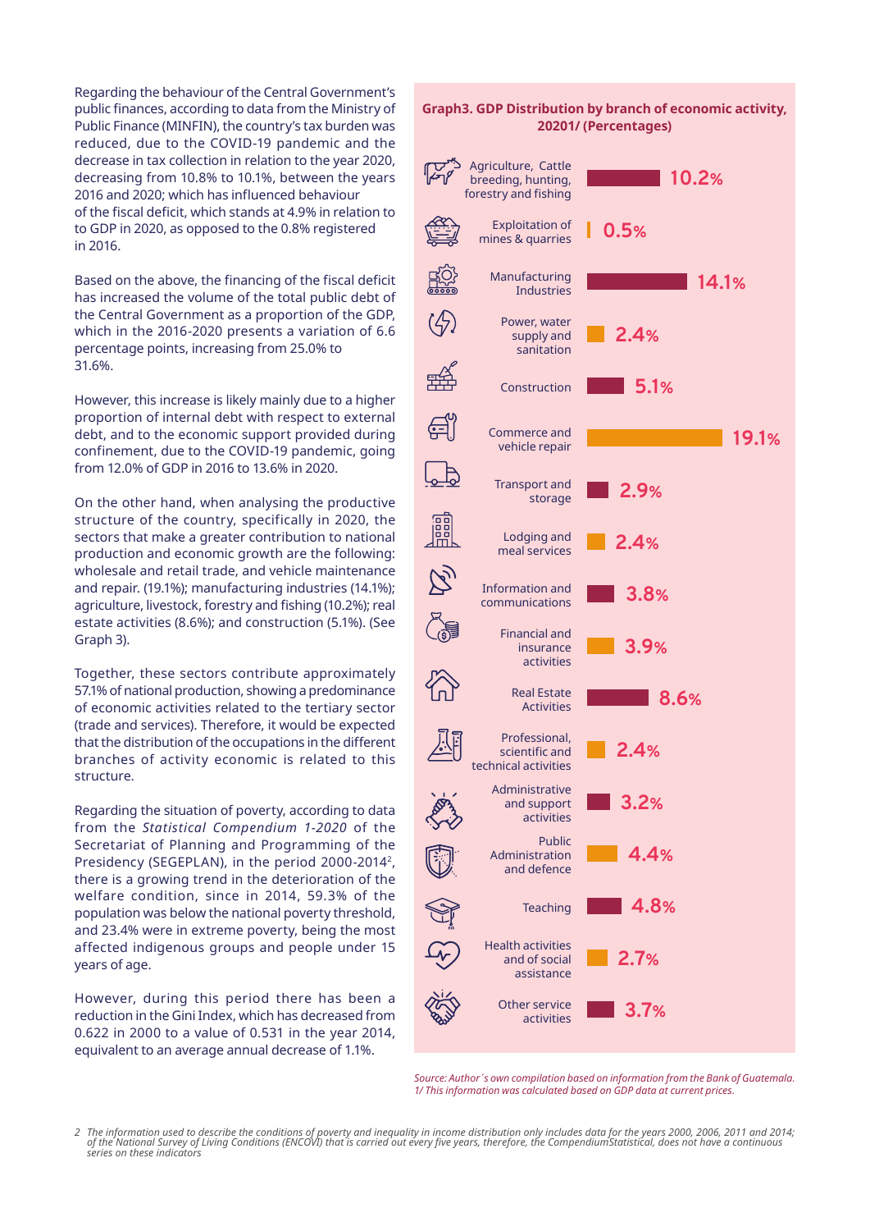Regarding the behaviour of the Central Government's public finances, according to data from the Ministry of Public Finance (MINFIN), the country's tax burden was reduced, due to the COVID-19 pandemic and the decrease in tax collection in relation to the year 2020, decreasing from 10.8% to 10.1%, between the years 2016 and 2020; which has influenced behaviour of the fiscal deficit, which stands at 4.9% in relation to to GDP in 2020, as opposed to the 0.8% registered in 2016.

Based on the above, the financing of the fiscal deficit has increased the volume of the total public debt of the Central Government as a proportion of the GDP, which in the 2016-2020 presents a variation of 6.6 percentage points, increasing from 25.0% to 31.6%.

However, this increase is likely mainly due to a higher proportion of internal debt with respect to external debt, and to the economic support provided during confinement, due to the COVID-19 pandemic, going from 12.0% of GDP in 2016 to 13.6% in 2020.

On the other hand, when analysing the productive structure of the country, specifically in 2020, the sectors that make a greater contribution to national production and economic growth are the following: wholesale and retail trade, and vehicle maintenance and repair. (19.1%); manufacturing industries (14.1%); agriculture, livestock, forestry and fishing (10.2%); real estate activities (8.6%); and construction (5.1%). (See Graph 3).

Together, these sectors contribute approximately 57.1% of national production, showing a predominance of economic activities related to the tertiary sector (trade and services). Therefore, it would be expected that the distribution of the occupations in the different branches of activity economic is related to this structure.

Regarding the situation of poverty, according to data from the *Statistical Compendium 1-2020* of the Secretariat of Planning and Programming of the Presidency (SEGEPLAN), in the period 2000-20142, there is a growing trend in the deterioration of the welfare condition, since in 2014, 59.3% of the population was below the national poverty threshold, and 23.4% were in extreme poverty, being the most affected indigenous groups and people under 15 years of age.

However, during this period there has been a reduction in the Gini Index, which has decreased from 0.622 in 2000 to a value of 0.531 in the year 2014, equivalent to an average annual decrease of 1.1%.

### **Graph3. GDP Distribution by branch of economic activity, 20201/ (Percentages)**



*Source: Author´s own compilation based on information from the Bank of Guatemala. 1/ This information was calculated based on GDP data at current prices.*

*<sup>2</sup> The information used to describe the conditions of poverty and inequality in income distribution only includes data for the years 2000, 2006, 2011 and 2014; of the National Survey of Living Conditions (ENCOVI) that is carried out every five years, therefore, the CompendiumStatistical, does not have a continuous series on these indicators*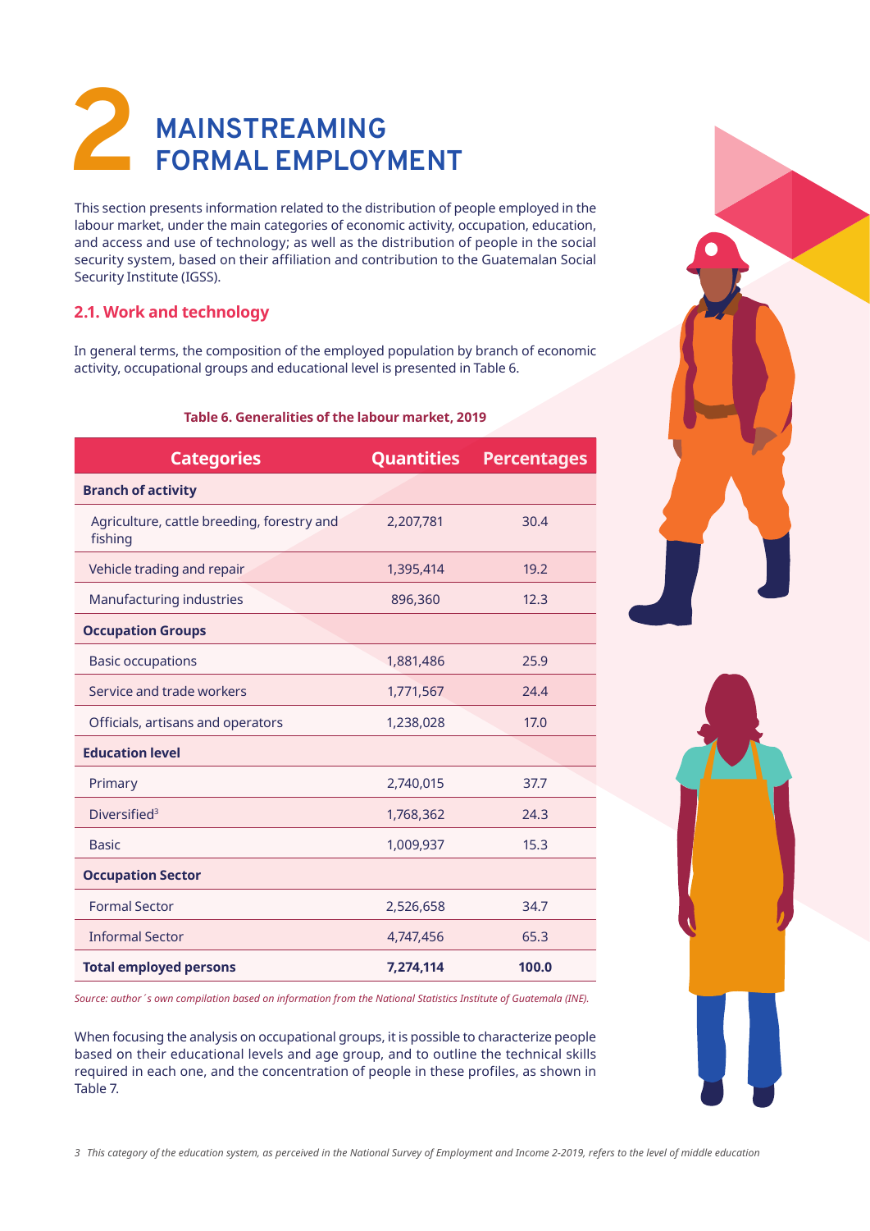# **2 MAINSTREAMING FORMAL EMPLOYMENT**

This section presents information related to the distribution of people employed in the labour market, under the main categories of economic activity, occupation, education, and access and use of technology; as well as the distribution of people in the social security system, based on their affiliation and contribution to the Guatemalan Social Security Institute (IGSS).

# **2.1. Work and technology**

In general terms, the composition of the employed population by branch of economic activity, occupational groups and educational level is presented in Table 6.

## **Table 6. Generalities of the labour market, 2019**

| <b>Categories</b>                                     | <b>Quantities</b> | <b>Percentages</b> |
|-------------------------------------------------------|-------------------|--------------------|
| <b>Branch of activity</b>                             |                   |                    |
| Agriculture, cattle breeding, forestry and<br>fishing | 2,207,781         | 30.4               |
| Vehicle trading and repair                            | 1,395,414         | 19.2               |
| Manufacturing industries                              | 896,360           | 12.3               |
| <b>Occupation Groups</b>                              |                   |                    |
| <b>Basic occupations</b>                              | 1,881,486         | 25.9               |
| Service and trade workers                             | 1,771,567         | 74.4               |
| Officials, artisans and operators                     | 1,238,028         | 17.0               |
| <b>Education level</b>                                |                   |                    |
| Primary                                               | 2,740,015         | 37.7               |
| Diversified <sup>3</sup>                              | 1,768,362         | 24.3               |
| <b>Basic</b>                                          | 1,009,937         | 15.3               |
| <b>Occupation Sector</b>                              |                   |                    |
| <b>Formal Sector</b>                                  | 2,526,658         | 34.7               |
| <b>Informal Sector</b>                                | 4,747,456         | 65.3               |
| <b>Total employed persons</b>                         | 7,274,114         | 100.0              |

*Source: author´s own compilation based on information from the National Statistics Institute of Guatemala (INE).*

When focusing the analysis on occupational groups, it is possible to characterize people based on their educational levels and age group, and to outline the technical skills required in each one, and the concentration of people in these profiles, as shown in Table 7.



*3 This category of the education system, as perceived in the National Survey of Employment and Income 2-2019, refers to the level of middle education*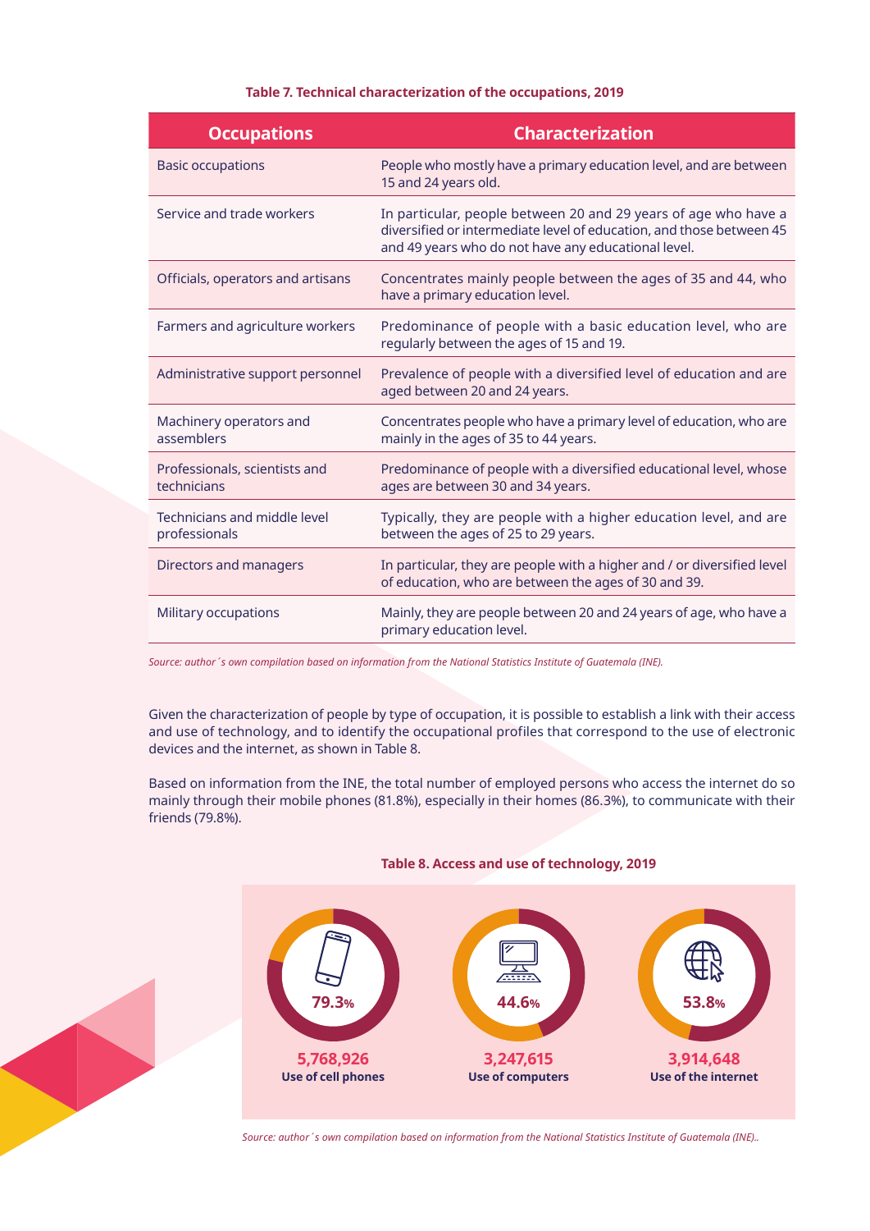### **Table 7. Technical characterization of the occupations, 2019**

| <b>Occupations</b>                            | <b>Characterization</b>                                                                                                                                                                        |
|-----------------------------------------------|------------------------------------------------------------------------------------------------------------------------------------------------------------------------------------------------|
| <b>Basic occupations</b>                      | People who mostly have a primary education level, and are between<br>15 and 24 years old.                                                                                                      |
| Service and trade workers                     | In particular, people between 20 and 29 years of age who have a<br>diversified or intermediate level of education, and those between 45<br>and 49 years who do not have any educational level. |
| Officials, operators and artisans             | Concentrates mainly people between the ages of 35 and 44, who<br>have a primary education level.                                                                                               |
| Farmers and agriculture workers               | Predominance of people with a basic education level, who are<br>regularly between the ages of 15 and 19.                                                                                       |
| Administrative support personnel              | Prevalence of people with a diversified level of education and are<br>aged between 20 and 24 years.                                                                                            |
| Machinery operators and<br>assemblers         | Concentrates people who have a primary level of education, who are<br>mainly in the ages of 35 to 44 years.                                                                                    |
| Professionals, scientists and<br>technicians  | Predominance of people with a diversified educational level, whose<br>ages are between 30 and 34 years.                                                                                        |
| Technicians and middle level<br>professionals | Typically, they are people with a higher education level, and are<br>between the ages of 25 to 29 years.                                                                                       |
| Directors and managers                        | In particular, they are people with a higher and / or diversified level<br>of education, who are between the ages of 30 and 39.                                                                |
| Military occupations                          | Mainly, they are people between 20 and 24 years of age, who have a<br>primary education level.                                                                                                 |

*Source: author´s own compilation based on information from the National Statistics Institute of Guatemala (INE).*

Given the characterization of people by type of occupation, it is possible to establish a link with their access and use of technology, and to identify the occupational profiles that correspond to the use of electronic devices and the internet, as shown in Table 8.

Based on information from the INE, the total number of employed persons who access the internet do so mainly through their mobile phones (81.8%), especially in their homes (86.3%), to communicate with their friends (79.8%).





*Source: author´s own compilation based on information from the National Statistics Institute of Guatemala (INE)..*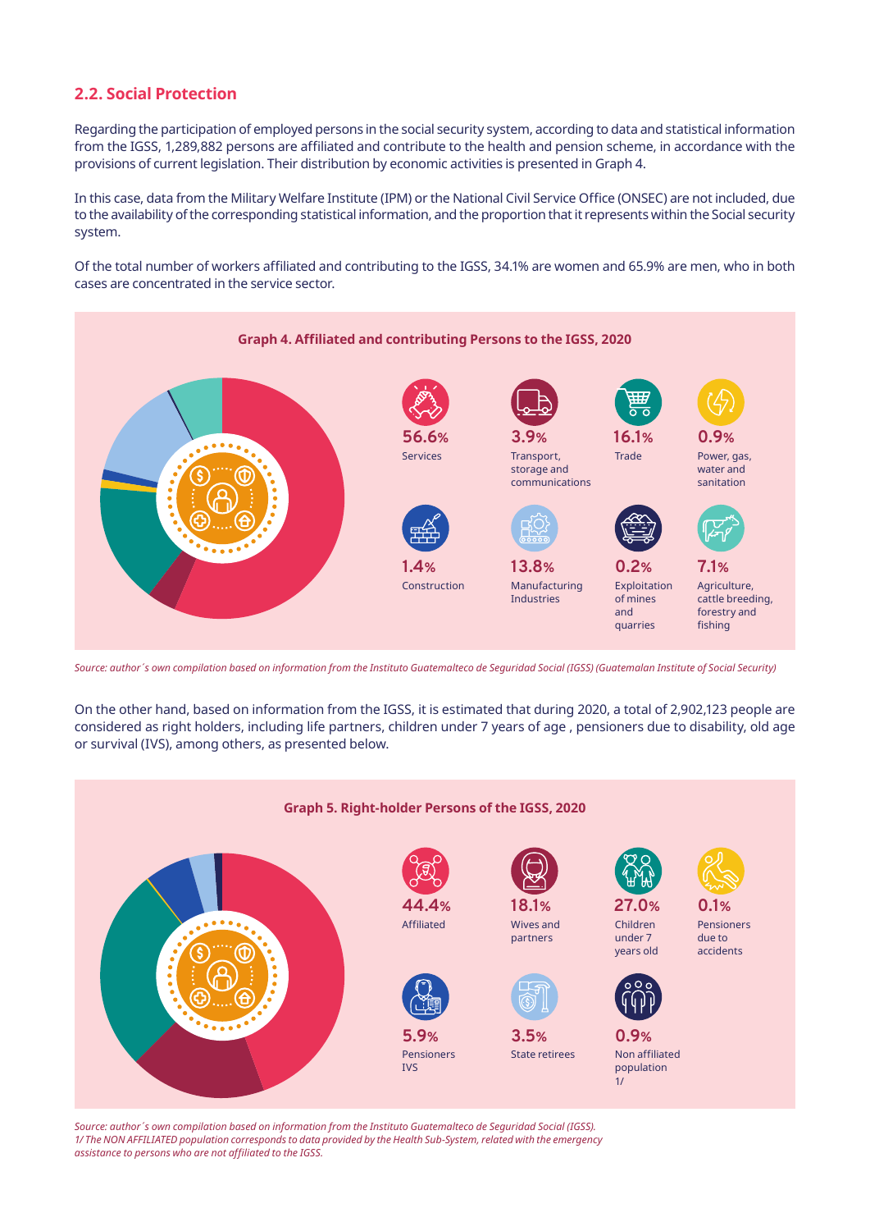## **2.2. Social Protection**

Regarding the participation of employed persons in the social security system, according to data and statistical information from the IGSS, 1,289,882 persons are affiliated and contribute to the health and pension scheme, in accordance with the provisions of current legislation. Their distribution by economic activities is presented in Graph 4.

In this case, data from the Military Welfare Institute (IPM) or the National Civil Service Office (ONSEC) are not included, due to the availability of the corresponding statistical information, and the proportion that it represents within the Social security system.

Of the total number of workers affiliated and contributing to the IGSS, 34.1% are women and 65.9% are men, who in both cases are concentrated in the service sector.



*Source: author´s own compilation based on information from the Instituto Guatemalteco de Seguridad Social (IGSS) (Guatemalan Institute of Social Security)*

On the other hand, based on information from the IGSS, it is estimated that during 2020, a total of 2,902,123 people are considered as right holders, including life partners, children under 7 years of age , pensioners due to disability, old age or survival (IVS), among others, as presented below.



*Source: author´s own compilation based on information from the Instituto Guatemalteco de Seguridad Social (IGSS). 1/ The NON AFFILIATED population corresponds to data provided by the Health Sub-System, related with the emergency assistance to persons who are not affiliated to the IGSS.*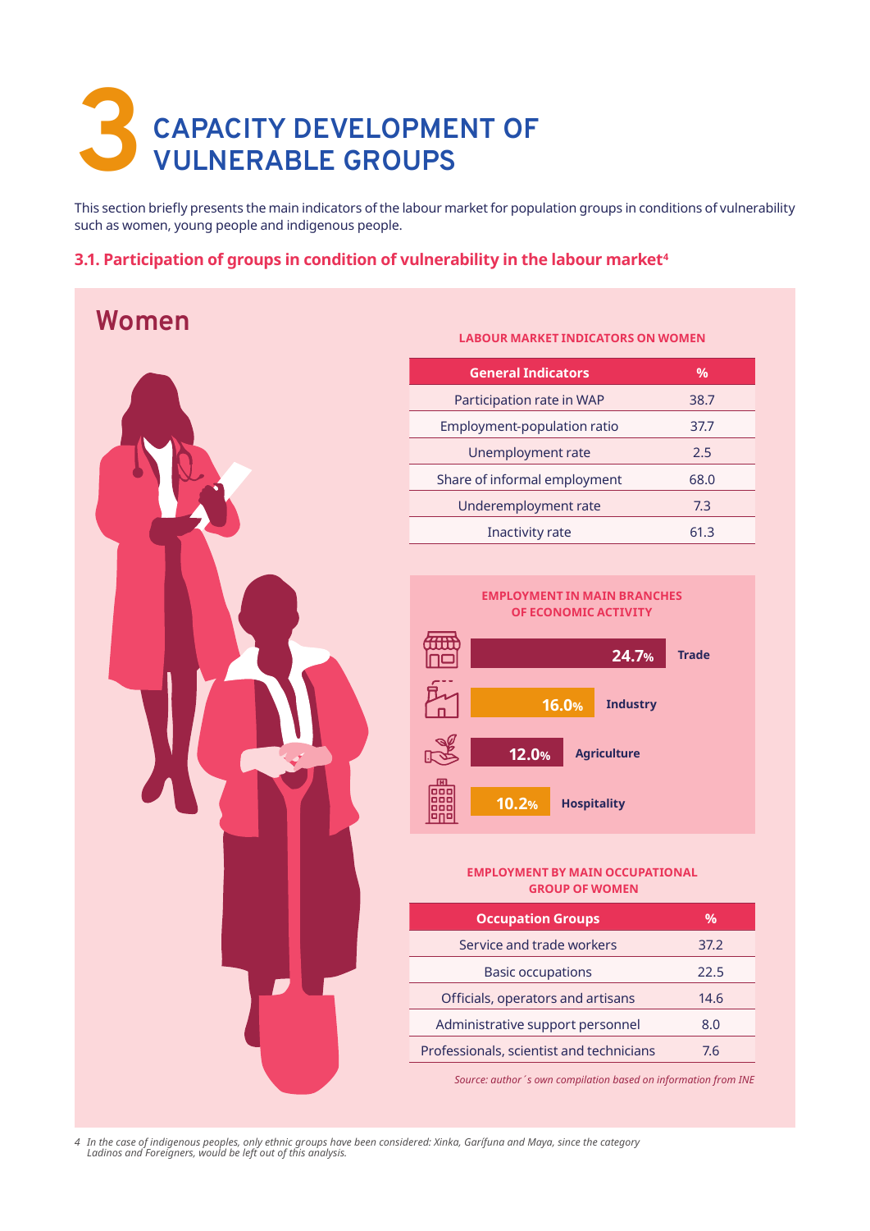# **3 CAPACITY DEVELOPMENT OF VULNERABLE GROUPS**

This section briefly presents the main indicators of the labour market for population groups in conditions of vulnerability such as women, young people and indigenous people.

## **3.1. Participation of groups in condition of vulnerability in the labour market4**

# **Women**



### **LABOUR MARKET INDICATORS ON WOMEN**

| <b>General Indicators</b>    | $\%$ |
|------------------------------|------|
| Participation rate in WAP    | 38.7 |
| Employment-population ratio  | 37.7 |
| Unemployment rate            | 2.5  |
| Share of informal employment | 68.0 |
| Underemployment rate         | 7.3  |
| Inactivity rate              | 61 3 |



### **EMPLOYMENT BY MAIN OCCUPATIONAL GROUP OF WOMEN**

| <b>Occupation Groups</b>                 | $\frac{0}{0}$ |
|------------------------------------------|---------------|
| Service and trade workers                | 37.2          |
| <b>Basic occupations</b>                 | 22.5          |
| Officials, operators and artisans        | 14.6          |
| Administrative support personnel         | 8.0           |
| Professionals, scientist and technicians | 76            |

*Source: author´s own compilation based on information from INE*

*4 In the case of indigenous peoples, only ethnic groups have been considered: Xinka, Garífuna and Maya, since the category Ladinos and Foreigners, would be left out of this analysis.*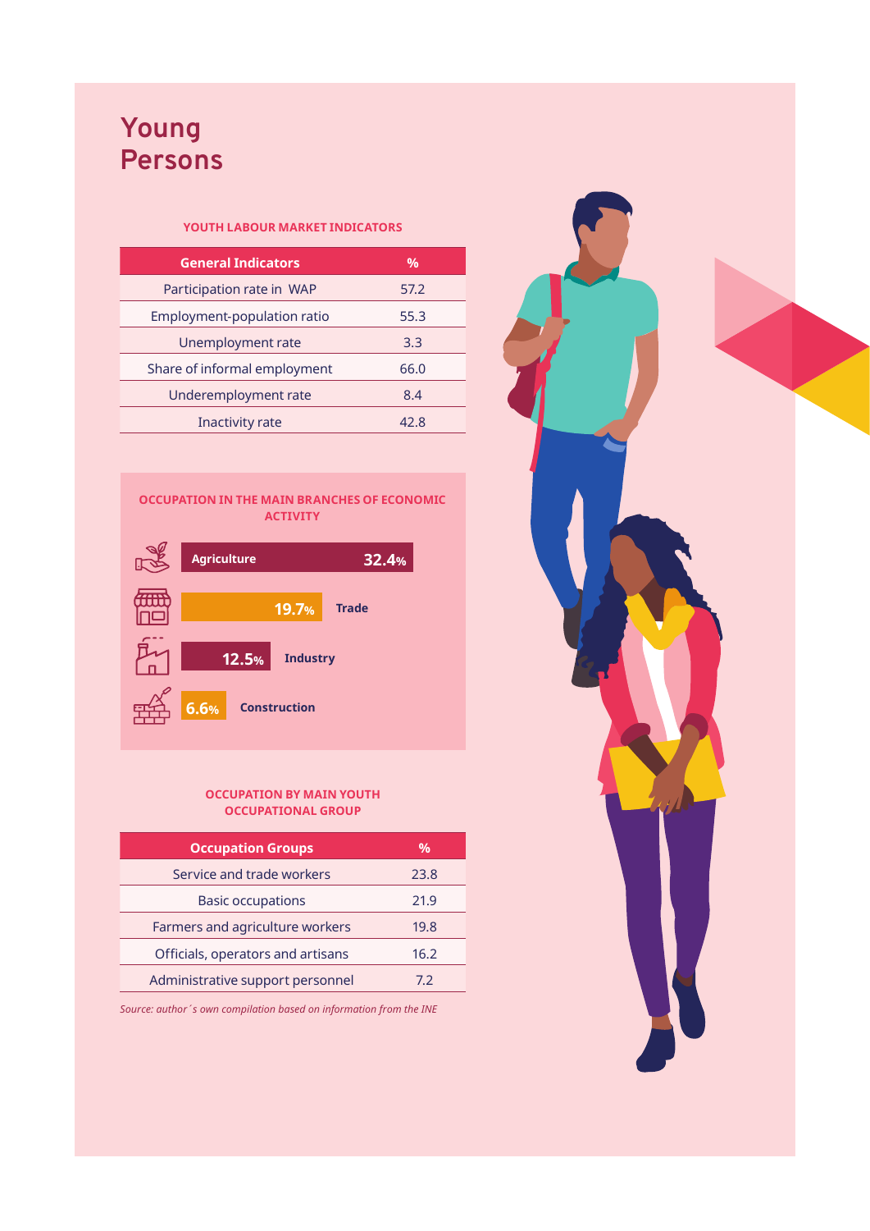# **Young Persons**

## **YOUTH LABOUR MARKET INDICATORS**

| <b>General Indicators</b>    | $\%$ |
|------------------------------|------|
| Participation rate in WAP    | 57.2 |
| Employment-population ratio  | 55.3 |
| Unemployment rate            | 3.3  |
| Share of informal employment | 66.0 |
| Underemployment rate         | 8.4  |
| Inactivity rate              | 42 R |





### **OCCUPATION BY MAIN YOUTH OCCUPATIONAL GROUP**

| <b>Occupation Groups</b>          | %    |
|-----------------------------------|------|
| Service and trade workers         | 23.8 |
| <b>Basic occupations</b>          | 21.9 |
| Farmers and agriculture workers   | 19.8 |
| Officials, operators and artisans | 16.2 |
| Administrative support personnel  | 72   |

*Source: author´s own compilation based on information from the INE* 

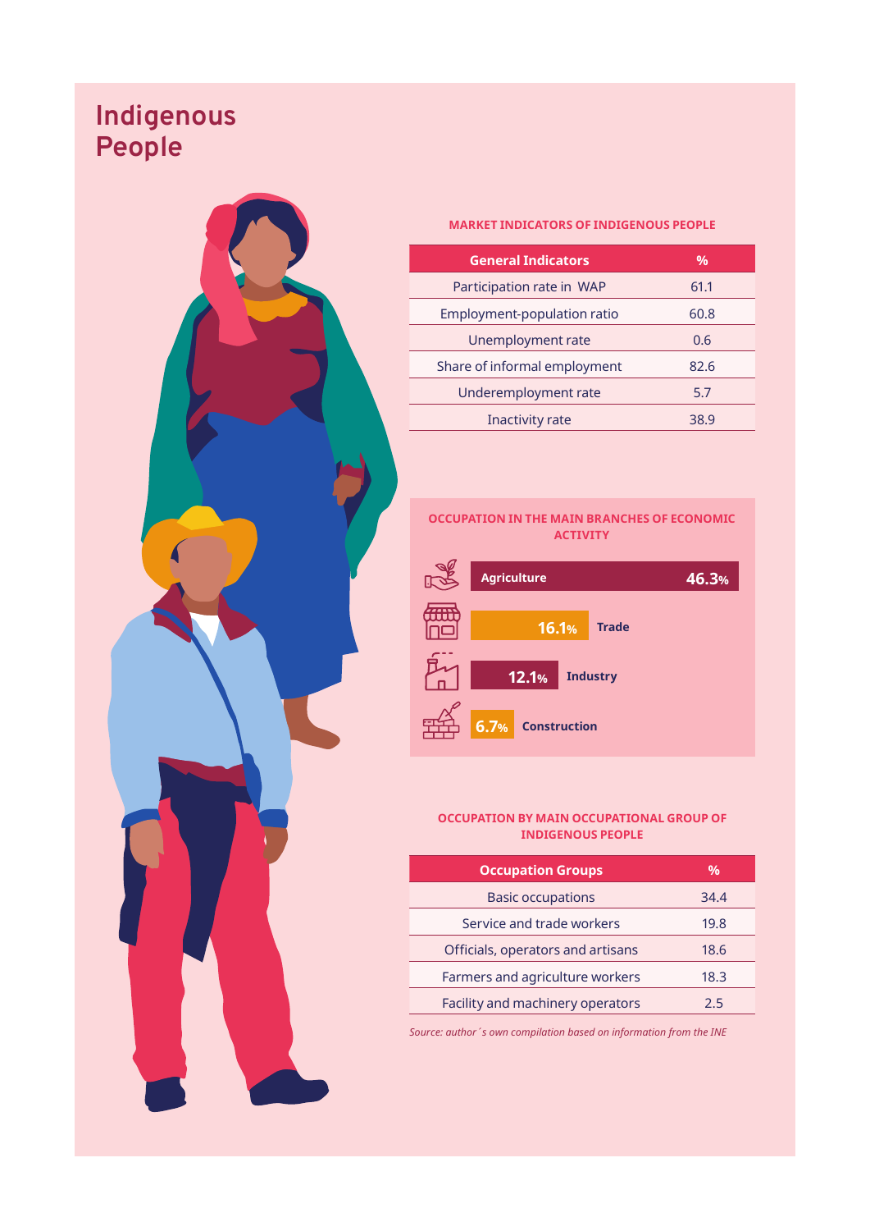# **Indigenous People**



#### **MARKET INDICATORS OF INDIGENOUS PEOPLE**

| <b>General Indicators</b>    | $\frac{0}{0}$ |
|------------------------------|---------------|
| Participation rate in WAP    | 61.1          |
| Employment-population ratio  | 60.8          |
| Unemployment rate            | 0.6           |
| Share of informal employment | 82.6          |
| Underemployment rate         | 5.7           |
| Inactivity rate              | 38 g          |

Ī

### **OCCUPATION IN THE MAIN BRANCHES OF ECONOMIC ACTIVITY**



### **OCCUPATION BY MAIN OCCUPATIONAL GROUP OF INDIGENOUS PEOPLE**

| <b>Occupation Groups</b>          | %    |
|-----------------------------------|------|
| <b>Basic occupations</b>          | 34.4 |
| Service and trade workers         | 19.8 |
| Officials, operators and artisans | 18.6 |
| Farmers and agriculture workers   | 18.3 |
| Facility and machinery operators  | 25   |
|                                   |      |

*Source: author´s own compilation based on information from the INE*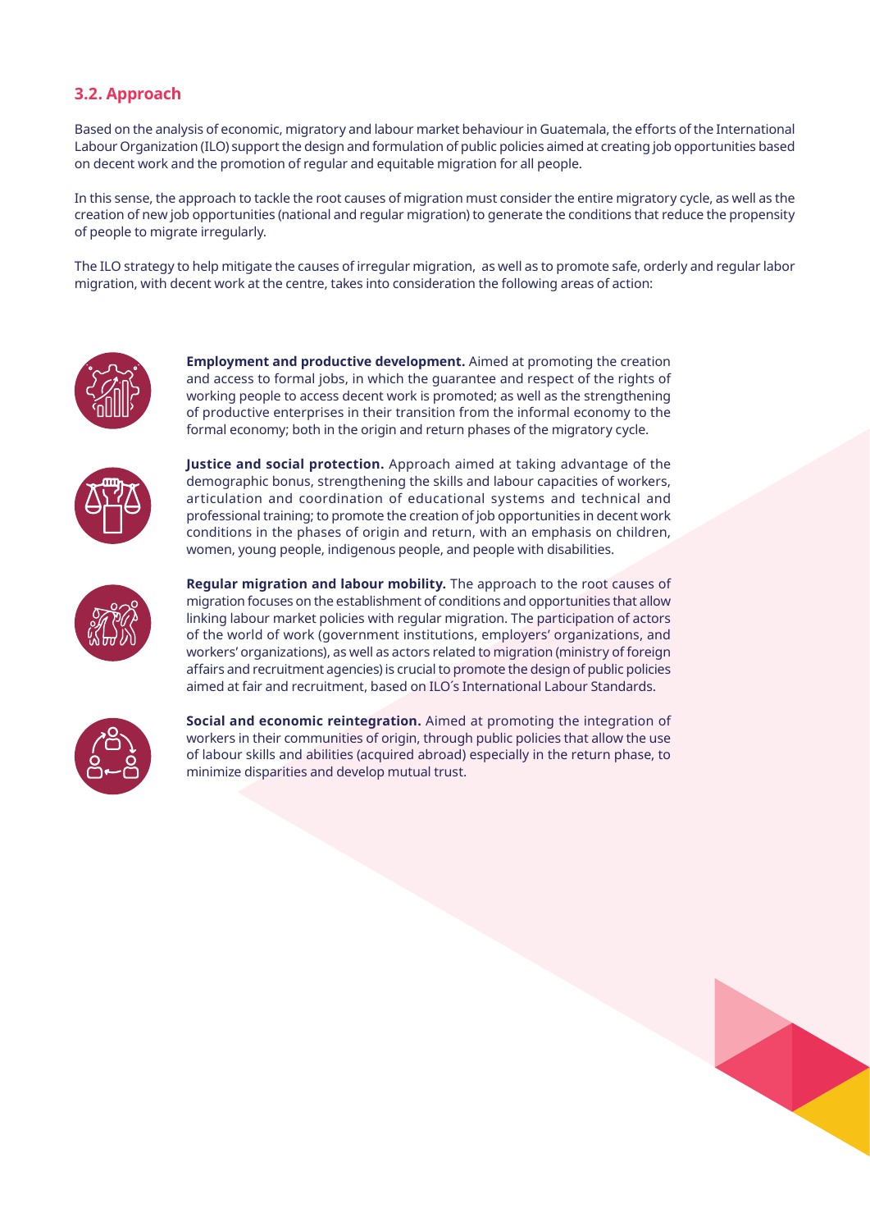# **3.2. Approach**

Based on the analysis of economic, migratory and labour market behaviour in Guatemala, the efforts of the International Labour Organization (ILO) support the design and formulation of public policies aimed at creating job opportunities based on decent work and the promotion of regular and equitable migration for all people.

In this sense, the approach to tackle the root causes of migration must consider the entire migratory cycle, as well as the creation of new job opportunities (national and regular migration) to generate the conditions that reduce the propensity of people to migrate irregularly.

The ILO strategy to help mitigate the causes of irregular migration, as well as to promote safe, orderly and regular labor migration, with decent work at the centre, takes into consideration the following areas of action:



**Employment and productive development.** Aimed at promoting the creation and access to formal jobs, in which the guarantee and respect of the rights of working people to access decent work is promoted; as well as the strengthening of productive enterprises in their transition from the informal economy to the formal economy; both in the origin and return phases of the migratory cycle.



**Justice and social protection.** Approach aimed at taking advantage of the demographic bonus, strengthening the skills and labour capacities of workers, articulation and coordination of educational systems and technical and professional training; to promote the creation of job opportunities in decent work conditions in the phases of origin and return, with an emphasis on children, women, young people, indigenous people, and people with disabilities.



**Regular migration and labour mobility.** The approach to the root causes of migration focuses on the establishment of conditions and opportunities that allow linking labour market policies with regular migration. The participation of actors of the world of work (government institutions, employers' organizations, and workers' organizations), as well as actors related to migration (ministry of foreign affairs and recruitment agencies) is crucial to promote the design of public policies aimed at fair and recruitment, based on ILO´s International Labour Standards.



**Social and economic reintegration.** Aimed at promoting the integration of workers in their communities of origin, through public policies that allow the use of labour skills and abilities (acquired abroad) especially in the return phase, to minimize disparities and develop mutual trust.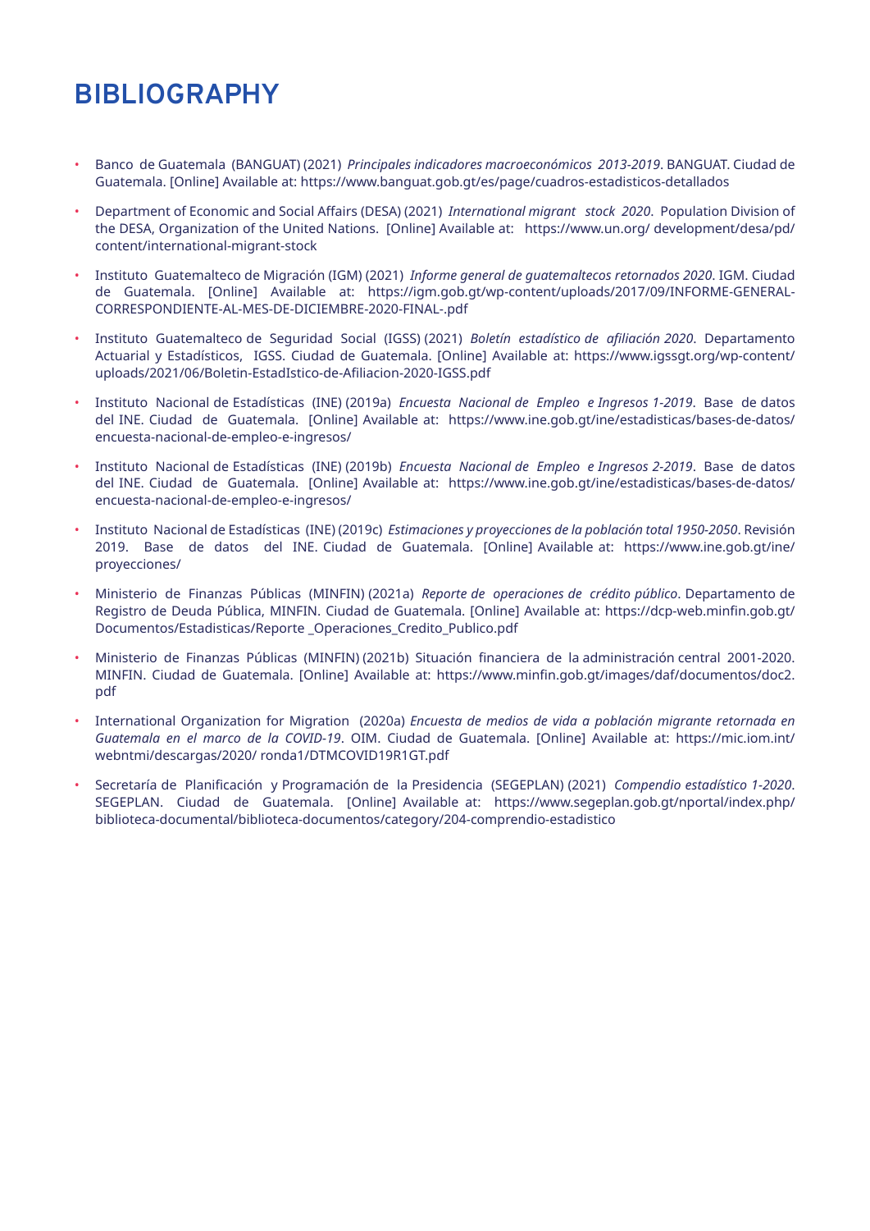# **BIBLIOGRAPHY**

- Banco de Guatemala (BANGUAT) (2021) *Principales indicadores macroeconómicos 2013-2019*. BANGUAT. Ciudad de Guatemala. [Online] Available at: https://www.banguat.gob.gt/es/page/cuadros-estadisticos-detallados
- Department of Economic and Social Affairs (DESA) (2021) *International migrant stock 2020*. Population Division of the DESA, Organization of the United Nations. [Online] Available at: https://www.un.org/ development/desa/pd/ content/international-migrant-stock
- Instituto Guatemalteco de Migración (IGM) (2021) *Informe general de guatemaltecos retornados 2020*. IGM. Ciudad de Guatemala. [Online] Available at: https://igm.gob.gt/wp-content/uploads/2017/09/INFORME-GENERAL-CORRESPONDIENTE-AL-MES-DE-DICIEMBRE-2020-FINAL-.pdf
- Instituto Guatemalteco de Seguridad Social (IGSS) (2021) *Boletín estadístico de afiliación 2020*. Departamento Actuarial y Estadísticos, IGSS. Ciudad de Guatemala. [Online] Available at: https://www.igssgt.org/wp-content/ uploads/2021/06/Boletin-EstadIstico-de-Afiliacion-2020-IGSS.pdf
- Instituto Nacional de Estadísticas (INE) (2019a) *Encuesta Nacional de Empleo e Ingresos 1-2019*. Base de datos del INE. Ciudad de Guatemala. [Online] Available at: https://www.ine.gob.gt/ine/estadisticas/bases-de-datos/ encuesta-nacional-de-empleo-e-ingresos/
- Instituto Nacional de Estadísticas (INE) (2019b) *Encuesta Nacional de Empleo e Ingresos 2-2019*. Base de datos del INE. Ciudad de Guatemala. [Online] Available at: https://www.ine.gob.gt/ine/estadisticas/bases-de-datos/ encuesta-nacional-de-empleo-e-ingresos/
- Instituto Nacional de Estadísticas (INE) (2019c) *Estimaciones y proyecciones de la población total 1950-2050*. Revisión 2019. Base de datos del INE. Ciudad de Guatemala. [Online] Available at: https://www.ine.gob.gt/ine/ proyecciones/
- Ministerio de Finanzas Públicas (MINFIN) (2021a) *Reporte de operaciones de crédito público*. Departamento de Registro de Deuda Pública, MINFIN. Ciudad de Guatemala. [Online] Available at: https://dcp-web.minfin.gob.gt/ Documentos/Estadisticas/Reporte \_Operaciones\_Credito\_Publico.pdf
- Ministerio de Finanzas Públicas (MINFIN) (2021b) Situación financiera de la administración central 2001-2020. MINFIN. Ciudad de Guatemala. [Online] Available at: https://www.minfin.gob.gt/images/daf/documentos/doc2. pdf
- International Organization for Migration (2020a) *Encuesta de medios de vida a población migrante retornada en Guatemala en el marco de la COVID-19*. OIM. Ciudad de Guatemala. [Online] Available at: https://mic.iom.int/ webntmi/descargas/2020/ ronda1/DTMCOVID19R1GT.pdf
- Secretaría de Planificación y Programación de la Presidencia (SEGEPLAN) (2021) *Compendio estadístico 1-2020*. SEGEPLAN. Ciudad de Guatemala. [Online] Available at: https://www.segeplan.gob.gt/nportal/index.php/ biblioteca-documental/biblioteca-documentos/category/204-comprendio-estadistico